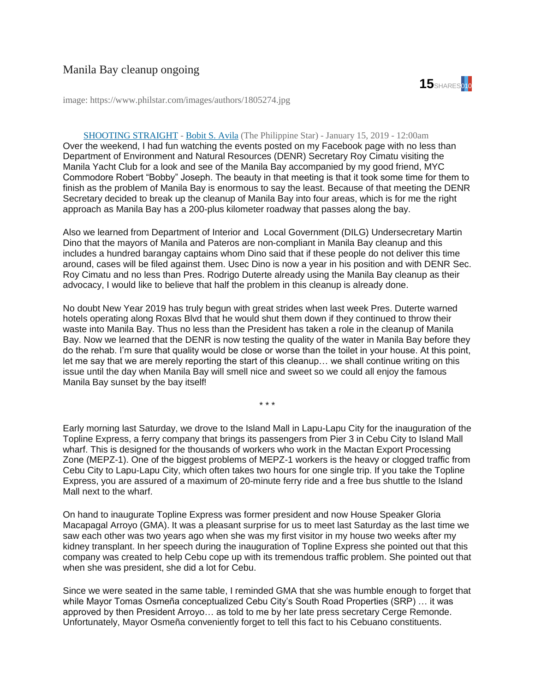

image: https://www.philstar.com/images/authors/1805274.jpg

## [SHOOTING STRAIGHT](https://www.philstar.com/columns/135522) - [Bobit S. Avila](https://www.philstar.com/authors/1805274/bobit-s-avila) (The Philippine Star) - January 15, 2019 - 12:00am

Over the weekend, I had fun watching the events posted on my Facebook page with no less than Department of Environment and Natural Resources (DENR) Secretary Roy Cimatu visiting the Manila Yacht Club for a look and see of the Manila Bay accompanied by my good friend, MYC Commodore Robert "Bobby" Joseph. The beauty in that meeting is that it took some time for them to finish as the problem of Manila Bay is enormous to say the least. Because of that meeting the DENR Secretary decided to break up the cleanup of Manila Bay into four areas, which is for me the right approach as Manila Bay has a 200-plus kilometer roadway that passes along the bay.

Also we learned from Department of Interior and Local Government (DILG) Undersecretary Martin Dino that the mayors of Manila and Pateros are non-compliant in Manila Bay cleanup and this includes a hundred barangay captains whom Dino said that if these people do not deliver this time around, cases will be filed against them. Usec Dino is now a year in his position and with DENR Sec. Roy Cimatu and no less than Pres. Rodrigo Duterte already using the Manila Bay cleanup as their advocacy, I would like to believe that half the problem in this cleanup is already done.

No doubt New Year 2019 has truly begun with great strides when last week Pres. Duterte warned hotels operating along Roxas Blvd that he would shut them down if they continued to throw their waste into Manila Bay. Thus no less than the President has taken a role in the cleanup of Manila Bay. Now we learned that the DENR is now testing the quality of the water in Manila Bay before they do the rehab. I'm sure that quality would be close or worse than the toilet in your house. At this point, let me say that we are merely reporting the start of this cleanup… we shall continue writing on this issue until the day when Manila Bay will smell nice and sweet so we could all enjoy the famous Manila Bay sunset by the bay itself!

\* \* \*

Early morning last Saturday, we drove to the Island Mall in Lapu-Lapu City for the inauguration of the Topline Express, a ferry company that brings its passengers from Pier 3 in Cebu City to Island Mall wharf. This is designed for the thousands of workers who work in the Mactan Export Processing Zone (MEPZ-1). One of the biggest problems of MEPZ-1 workers is the heavy or clogged traffic from Cebu City to Lapu-Lapu City, which often takes two hours for one single trip. If you take the Topline Express, you are assured of a maximum of 20-minute ferry ride and a free bus shuttle to the Island Mall next to the wharf.

On hand to inaugurate Topline Express was former president and now House Speaker Gloria Macapagal Arroyo (GMA). It was a pleasant surprise for us to meet last Saturday as the last time we saw each other was two years ago when she was my first visitor in my house two weeks after my kidney transplant. In her speech during the inauguration of Topline Express she pointed out that this company was created to help Cebu cope up with its tremendous traffic problem. She pointed out that when she was president, she did a lot for Cebu.

Since we were seated in the same table, I reminded GMA that she was humble enough to forget that while Mayor Tomas Osmeña conceptualized Cebu City's South Road Properties (SRP) … it was approved by then President Arroyo… as told to me by her late press secretary Cerge Remonde. Unfortunately, Mayor Osmeña conveniently forget to tell this fact to his Cebuano constituents.